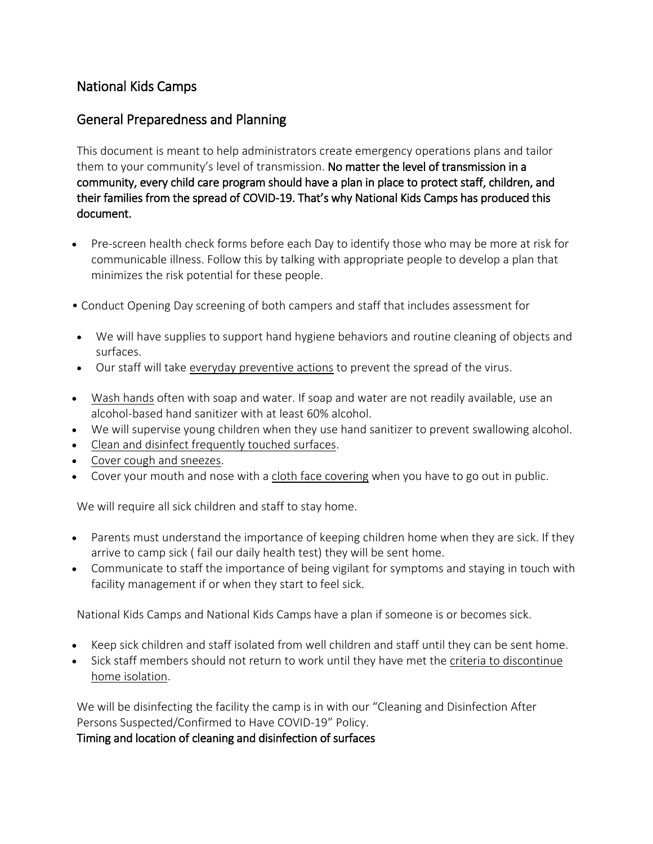# National Kids Camps

## General Preparedness and Planning

This document is meant to help administrators create emergency operations plans and tailor them to your community's level of transmission. No matter the level of transmission in a community, every child care program should have a plan in place to protect staff, children, and their families from the spread of COVID-19. That's why National Kids Camps has produced this document.

- Pre-screen health check forms before each Day to identify those who may be more at risk for communicable illness. Follow this by talking with appropriate people to develop a plan that minimizes the risk potential for these people.
- Conduct Opening Day screening of both campers and staff that includes assessment for
- We will have supplies to support hand hygiene behaviors and routine cleaning of objects and surfaces.
- Our staff will take [everyday preventive actions](https://www.cdc.gov/coronavirus/2019-ncov/about/prevention-treatment.html) to prevent the spread of the virus.
- [Wash hands](https://www.cdc.gov/handwashing/index.html) often with soap and water. If soap and water are not readily available, use an alcohol-based hand sanitizer with at least 60% alcohol.
- We will supervise young children when they use hand sanitizer to prevent swallowing alcohol.
- [Clean and disinfect frequently touched surfaces.](https://www.cdc.gov/coronavirus/2019-ncov/community/schools-childcare/guidance-for-childcare.html#clean)
- [Cover cough and sneezes.](https://www.cdc.gov/healthywater/hygiene/etiquette/coughing_sneezing.html)
- Cover your mouth and nose with a [cloth face covering](https://www.cdc.gov/coronavirus/2019-ncov/prevent-getting-sick/diy-cloth-face-coverings.html) when you have to go out in public.

We will require all sick children and staff to stay home.

- Parents must understand the importance of keeping children home when they are sick. If they arrive to camp sick ( fail our daily health test) they will be sent home.
- Communicate to staff the importance of being vigilant for symptoms and staying in touch with facility management if or when they start to feel sick.

National Kids Camps and National Kids Camps have a plan if someone is or becomes sick.

- Keep sick children and staff isolated from well children and staff until they can be sent home.
- Sick staff members should not return to work until they have met the [criteria to discontinue](https://www.cdc.gov/coronavirus/2019-ncov/if-you-are-sick/steps-when-sick.html)  [home isolation.](https://www.cdc.gov/coronavirus/2019-ncov/if-you-are-sick/steps-when-sick.html)

We will be disinfecting the facility the camp is in with our "Cleaning and Disinfection After Persons Suspected/Confirmed to Have COVID-19" Policy.

Timing and location of cleaning and disinfection of surfaces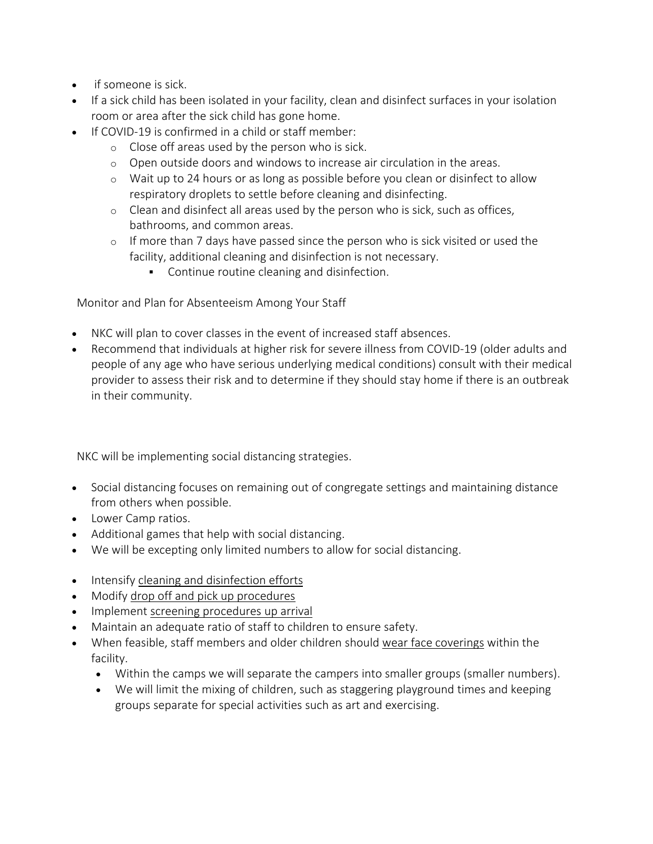- if someone is sick.
- If a sick child has been isolated in your facility, clean and disinfect surfaces in your isolation room or area after the sick child has gone home.
- If COVID-19 is confirmed in a child or staff member:
	- o Close off areas used by the person who is sick.
	- o Open outside doors and windows to increase air circulation in the areas.
	- o Wait up to 24 hours or as long as possible before you clean or disinfect to allow respiratory droplets to settle before cleaning and disinfecting.
	- $\circ$  Clean and disinfect all areas used by the person who is sick, such as offices, bathrooms, and common areas.
	- $\circ$  If more than 7 days have passed since the person who is sick visited or used the facility, additional cleaning and disinfection is not necessary.
		- Continue routine cleaning and disinfection.

Monitor and Plan for Absenteeism Among Your Staff

- NKC will plan to cover classes in the event of increased staff absences.
- Recommend that individuals at higher risk for severe illness from COVID-19 (older adults and people of any age who have serious underlying medical conditions) consult with their medical provider to assess their risk and to determine if they should stay home if there is an outbreak in their community.

NKC will be implementing social distancing strategies.

- Social distancing focuses on remaining out of congregate settings and maintaining distance from others when possible.
- Lower Camp ratios.
- Additional games that help with social distancing.
- We will be excepting only limited numbers to allow for social distancing.
- Intensify [cleaning and disinfection efforts](https://www.cdc.gov/coronavirus/2019-ncov/community/schools-childcare/guidance-for-childcare.html#CleanDisinfect)
- Modify [drop off and pick up procedures](https://www.cdc.gov/coronavirus/2019-ncov/community/schools-childcare/guidance-for-childcare.html#pickup)
- Implement [screening procedures up arrival](https://www.cdc.gov/coronavirus/2019-ncov/community/schools-childcare/guidance-for-childcare.html#ScreenChildren)
- Maintain an adequate ratio of staff to children to ensure safety.
- When feasible, staff members and older children should [wear face coverings](https://www.cdc.gov/coronavirus/2019-ncov/prevent-getting-sick/diy-cloth-face-coverings.html) within the facility.
	- Within the camps we will separate the campers into smaller groups (smaller numbers).
	- We will limit the mixing of children, such as staggering playground times and keeping groups separate for special activities such as art and exercising.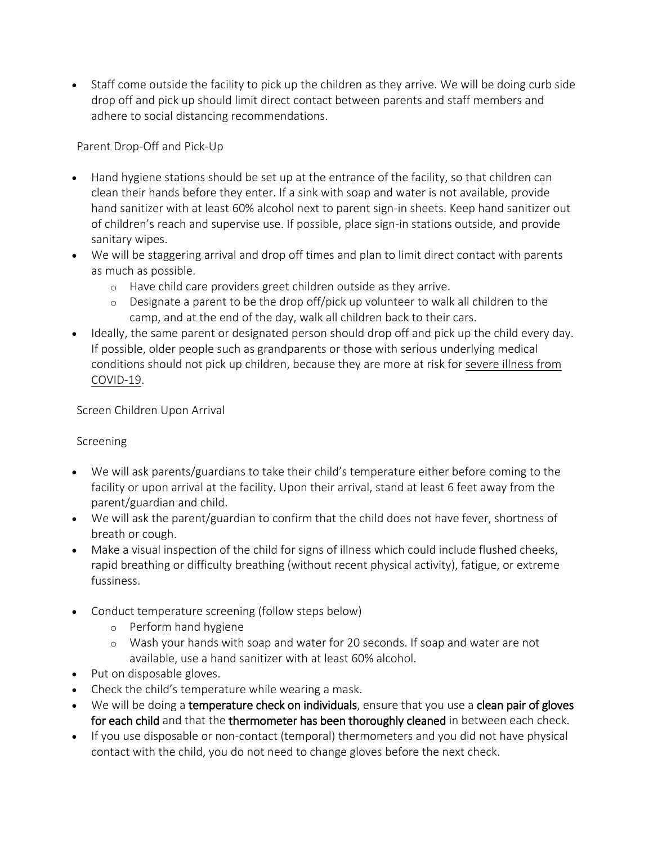• Staff come outside the facility to pick up the children as they arrive. We will be doing curb side drop off and pick up should limit direct contact between parents and staff members and adhere to social distancing recommendations.

#### Parent Drop-Off and Pick-Up

- Hand hygiene stations should be set up at the entrance of the facility, so that children can clean their hands before they enter. If a sink with soap and water is not available, provide hand sanitizer with at least 60% alcohol next to parent sign-in sheets. Keep hand sanitizer out of children's reach and supervise use. If possible, place sign-in stations outside, and provide sanitary wipes.
- We will be staggering arrival and drop off times and plan to limit direct contact with parents as much as possible.
	- o Have child care providers greet children outside as they arrive.
	- $\circ$  Designate a parent to be the drop off/pick up volunteer to walk all children to the camp, and at the end of the day, walk all children back to their cars.
- Ideally, the same parent or designated person should drop off and pick up the child every day. If possible, older people such as grandparents or those with serious underlying medical conditions should not pick up children, because they are more at risk for [severe illness from](https://www.cdc.gov/coronavirus/2019-ncov/specific-groups/high-risk-complications.html)  [COVID-19.](https://www.cdc.gov/coronavirus/2019-ncov/specific-groups/high-risk-complications.html)

Screen Children Upon Arrival

#### Screening

- We will ask parents/guardians to take their child's temperature either before coming to the facility or upon arrival at the facility. Upon their arrival, stand at least 6 feet away from the parent/guardian and child.
- We will ask the parent/guardian to confirm that the child does not have fever, shortness of breath or cough.
- Make a visual inspection of the child for signs of illness which could include flushed cheeks, rapid breathing or difficulty breathing (without recent physical activity), fatigue, or extreme fussiness.
- Conduct temperature screening (follow steps below)
	- o Perform hand hygiene
	- o Wash your hands with soap and water for 20 seconds. If soap and water are not available, use a hand sanitizer with at least 60% alcohol.
- Put on disposable gloves.
- Check the child's temperature while wearing a mask.
- We will be doing a temperature check on individuals, ensure that you use a clean pair of gloves for each child and that the thermometer has been thoroughly cleaned in between each check.
- If you use disposable or non-contact (temporal) thermometers and you did not have physical contact with the child, you do not need to change gloves before the next check.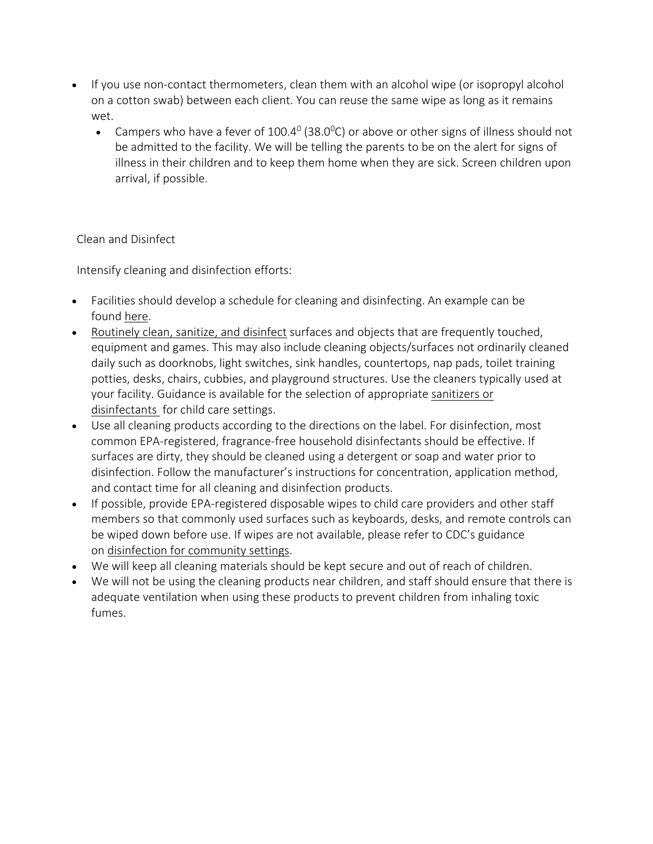- If you use non-contact thermometers, clean them with an alcohol wipe (or isopropyl alcohol on a cotton swab) between each client. You can reuse the same wipe as long as it remains wet.
	- Campers who have a fever of 100.4 $^{\circ}$  (38.0 $^{\circ}$ C) or above or other signs of illness should not be admitted to the facility. We will be telling the parents to be on the alert for signs of illness in their children and to keep them home when they are sick. Screen children upon arrival, if possible.

### Clean and Disinfect

Intensify cleaning and disinfection efforts:

- Facilities should develop a schedule for cleaning and disinfecting. An example can be found [here.](https://nrckids.org/files/appendix/AppendixK.pdf)
- [Routinely clean, sanitize, and disinfect](https://www.cdc.gov/coronavirus/2019-ncov/prepare/disinfecting-building-facility.html) surfaces and objects that are frequently touched, equipment and games. This may also include cleaning objects/surfaces not ordinarily cleaned daily such as doorknobs, light switches, sink handles, countertops, nap pads, toilet training potties, desks, chairs, cubbies, and playground structures. Use the cleaners typically used at your facility. Guidance is available for the selection of appropriate [sanitizers or](https://nrckids.org/files/CFOC4%20pdf-%20FINAL.pdf)  [disinfectants](https://nrckids.org/files/CFOC4%20pdf-%20FINAL.pdf) for child care settings.
- Use all cleaning products according to the directions on the label. For disinfection, most common EPA-registered, fragrance-free household disinfectants should be effective. If surfaces are dirty, they should be cleaned using a detergent or soap and water prior to disinfection. Follow the manufacturer's instructions for concentration, application method, and contact time for all cleaning and disinfection products.
- If possible, provide EPA-registered disposable wipes to child care providers and other staff members so that commonly used surfaces such as keyboards, desks, and remote controls can be wiped down before use. If wipes are not available, please refer to CDC's guidance on [disinfection for community settings.](https://www.cdc.gov/coronavirus/2019-ncov/community/organizations/cleaning-disinfection.html)
- We will keep all cleaning materials should be kept secure and out of reach of children.
- We will not be using the cleaning products near children, and staff should ensure that there is adequate ventilation when using these products to prevent children from inhaling toxic fumes.